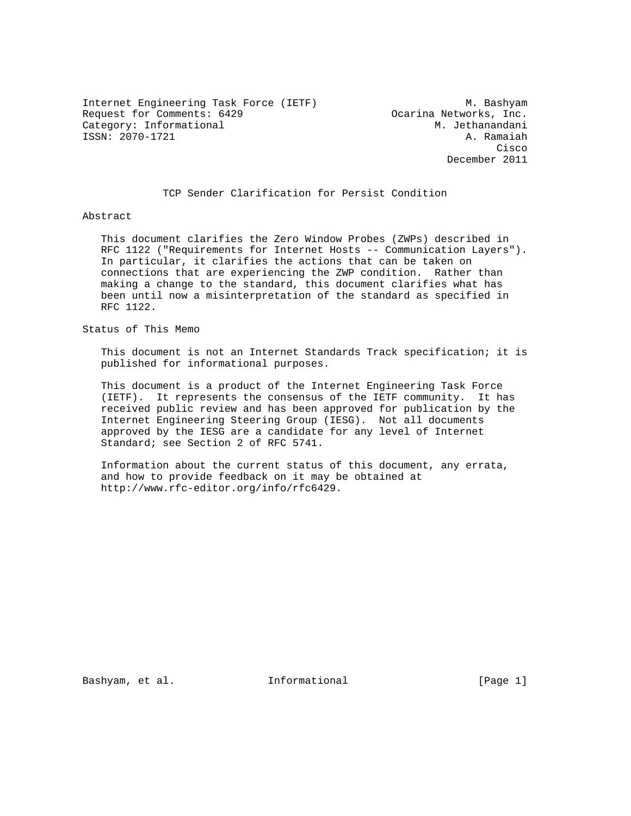Internet Engineering Task Force (IETF) M. Bashyam Request for Comments: 6429 Ocarina Networks, Inc. Category: Informational M. Jethanandani ISSN: 2070-1721 A. Ramaiah

**Cisco de la contrata de la contrata de la contrata de la contrata de la contrata de la contrata de la contrat** December 2011

TCP Sender Clarification for Persist Condition

### Abstract

 This document clarifies the Zero Window Probes (ZWPs) described in RFC 1122 ("Requirements for Internet Hosts -- Communication Layers"). In particular, it clarifies the actions that can be taken on connections that are experiencing the ZWP condition. Rather than making a change to the standard, this document clarifies what has been until now a misinterpretation of the standard as specified in RFC 1122.

Status of This Memo

 This document is not an Internet Standards Track specification; it is published for informational purposes.

 This document is a product of the Internet Engineering Task Force (IETF). It represents the consensus of the IETF community. It has received public review and has been approved for publication by the Internet Engineering Steering Group (IESG). Not all documents approved by the IESG are a candidate for any level of Internet Standard; see Section 2 of RFC 5741.

 Information about the current status of this document, any errata, and how to provide feedback on it may be obtained at http://www.rfc-editor.org/info/rfc6429.

Bashyam, et al. **Informational** [Page 1]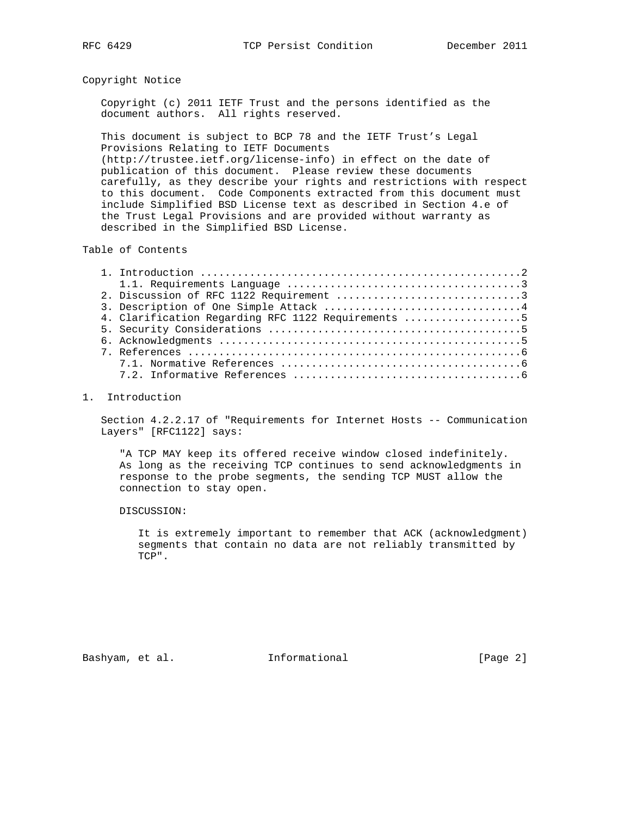## Copyright Notice

 Copyright (c) 2011 IETF Trust and the persons identified as the document authors. All rights reserved.

 This document is subject to BCP 78 and the IETF Trust's Legal Provisions Relating to IETF Documents (http://trustee.ietf.org/license-info) in effect on the date of publication of this document. Please review these documents carefully, as they describe your rights and restrictions with respect to this document. Code Components extracted from this document must include Simplified BSD License text as described in Section 4.e of the Trust Legal Provisions and are provided without warranty as described in the Simplified BSD License.

Table of Contents

| 4. Clarification Regarding RFC 1122 Requirements 5 |
|----------------------------------------------------|
|                                                    |
|                                                    |
|                                                    |
|                                                    |
|                                                    |

### 1. Introduction

 Section 4.2.2.17 of "Requirements for Internet Hosts -- Communication Layers" [RFC1122] says:

 "A TCP MAY keep its offered receive window closed indefinitely. As long as the receiving TCP continues to send acknowledgments in response to the probe segments, the sending TCP MUST allow the connection to stay open.

#### DISCUSSION:

 It is extremely important to remember that ACK (acknowledgment) segments that contain no data are not reliably transmitted by TCP".

Bashyam, et al. 100 and 111 and 111 and 101 and 101 and 101 and 101 and 101 and 101 and 101 and 101 and 101 and 10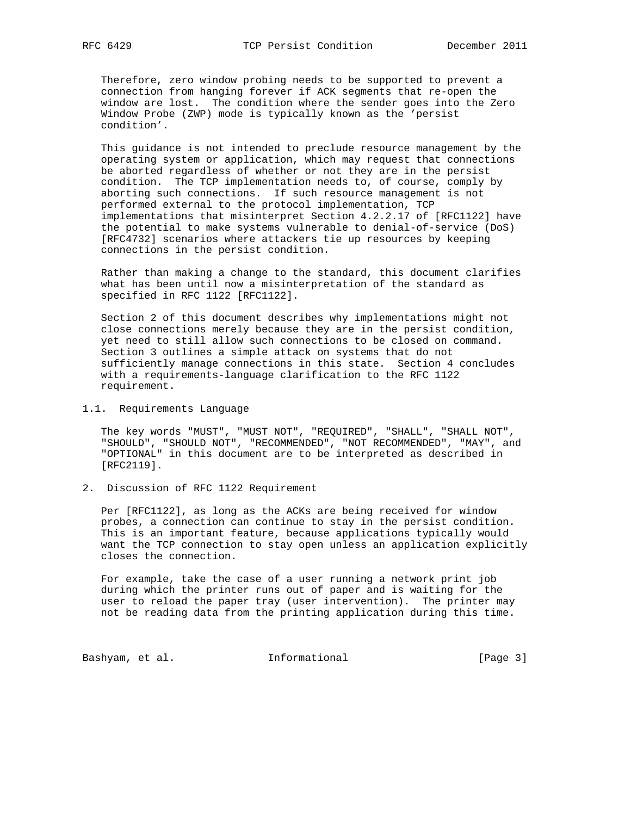Therefore, zero window probing needs to be supported to prevent a connection from hanging forever if ACK segments that re-open the window are lost. The condition where the sender goes into the Zero Window Probe (ZWP) mode is typically known as the 'persist condition'.

 This guidance is not intended to preclude resource management by the operating system or application, which may request that connections be aborted regardless of whether or not they are in the persist condition. The TCP implementation needs to, of course, comply by aborting such connections. If such resource management is not performed external to the protocol implementation, TCP implementations that misinterpret Section 4.2.2.17 of [RFC1122] have the potential to make systems vulnerable to denial-of-service (DoS) [RFC4732] scenarios where attackers tie up resources by keeping connections in the persist condition.

 Rather than making a change to the standard, this document clarifies what has been until now a misinterpretation of the standard as specified in RFC 1122 [RFC1122].

 Section 2 of this document describes why implementations might not close connections merely because they are in the persist condition, yet need to still allow such connections to be closed on command. Section 3 outlines a simple attack on systems that do not sufficiently manage connections in this state. Section 4 concludes with a requirements-language clarification to the RFC 1122 requirement.

## 1.1. Requirements Language

 The key words "MUST", "MUST NOT", "REQUIRED", "SHALL", "SHALL NOT", "SHOULD", "SHOULD NOT", "RECOMMENDED", "NOT RECOMMENDED", "MAY", and "OPTIONAL" in this document are to be interpreted as described in [RFC2119].

2. Discussion of RFC 1122 Requirement

 Per [RFC1122], as long as the ACKs are being received for window probes, a connection can continue to stay in the persist condition. This is an important feature, because applications typically would want the TCP connection to stay open unless an application explicitly closes the connection.

 For example, take the case of a user running a network print job during which the printer runs out of paper and is waiting for the user to reload the paper tray (user intervention). The printer may not be reading data from the printing application during this time.

Bashyam, et al. 1nformational 1999 [Page 3]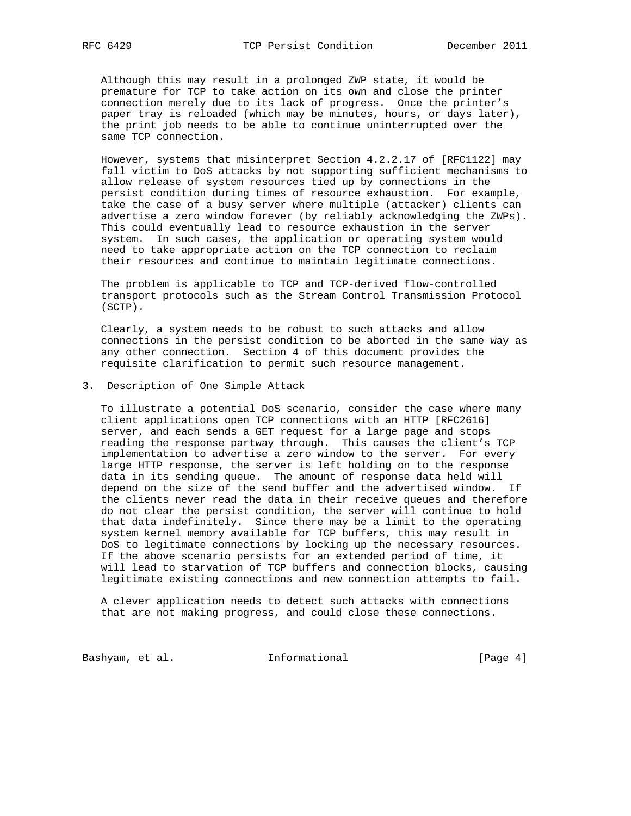Although this may result in a prolonged ZWP state, it would be premature for TCP to take action on its own and close the printer connection merely due to its lack of progress. Once the printer's paper tray is reloaded (which may be minutes, hours, or days later), the print job needs to be able to continue uninterrupted over the same TCP connection.

 However, systems that misinterpret Section 4.2.2.17 of [RFC1122] may fall victim to DoS attacks by not supporting sufficient mechanisms to allow release of system resources tied up by connections in the persist condition during times of resource exhaustion. For example, take the case of a busy server where multiple (attacker) clients can advertise a zero window forever (by reliably acknowledging the ZWPs). This could eventually lead to resource exhaustion in the server system. In such cases, the application or operating system would need to take appropriate action on the TCP connection to reclaim their resources and continue to maintain legitimate connections.

 The problem is applicable to TCP and TCP-derived flow-controlled transport protocols such as the Stream Control Transmission Protocol (SCTP).

 Clearly, a system needs to be robust to such attacks and allow connections in the persist condition to be aborted in the same way as any other connection. Section 4 of this document provides the requisite clarification to permit such resource management.

### 3. Description of One Simple Attack

 To illustrate a potential DoS scenario, consider the case where many client applications open TCP connections with an HTTP [RFC2616] server, and each sends a GET request for a large page and stops reading the response partway through. This causes the client's TCP implementation to advertise a zero window to the server. For every large HTTP response, the server is left holding on to the response data in its sending queue. The amount of response data held will depend on the size of the send buffer and the advertised window. If the clients never read the data in their receive queues and therefore do not clear the persist condition, the server will continue to hold that data indefinitely. Since there may be a limit to the operating system kernel memory available for TCP buffers, this may result in DoS to legitimate connections by locking up the necessary resources. If the above scenario persists for an extended period of time, it will lead to starvation of TCP buffers and connection blocks, causing legitimate existing connections and new connection attempts to fail.

 A clever application needs to detect such attacks with connections that are not making progress, and could close these connections.

Bashyam, et al. 100 Informational 100 [Page 4]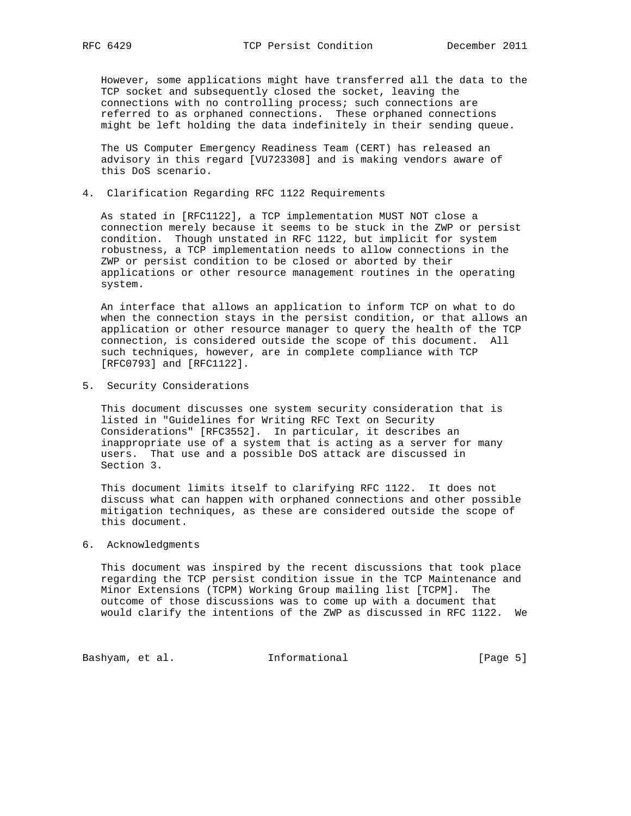However, some applications might have transferred all the data to the TCP socket and subsequently closed the socket, leaving the connections with no controlling process; such connections are referred to as orphaned connections. These orphaned connections might be left holding the data indefinitely in their sending queue.

 The US Computer Emergency Readiness Team (CERT) has released an advisory in this regard [VU723308] and is making vendors aware of this DoS scenario.

4. Clarification Regarding RFC 1122 Requirements

 As stated in [RFC1122], a TCP implementation MUST NOT close a connection merely because it seems to be stuck in the ZWP or persist condition. Though unstated in RFC 1122, but implicit for system robustness, a TCP implementation needs to allow connections in the ZWP or persist condition to be closed or aborted by their applications or other resource management routines in the operating system.

 An interface that allows an application to inform TCP on what to do when the connection stays in the persist condition, or that allows an application or other resource manager to query the health of the TCP connection, is considered outside the scope of this document. All such techniques, however, are in complete compliance with TCP [RFC0793] and [RFC1122].

5. Security Considerations

 This document discusses one system security consideration that is listed in "Guidelines for Writing RFC Text on Security Considerations" [RFC3552]. In particular, it describes an inappropriate use of a system that is acting as a server for many users. That use and a possible DoS attack are discussed in Section 3.

 This document limits itself to clarifying RFC 1122. It does not discuss what can happen with orphaned connections and other possible mitigation techniques, as these are considered outside the scope of this document.

# 6. Acknowledgments

 This document was inspired by the recent discussions that took place regarding the TCP persist condition issue in the TCP Maintenance and Minor Extensions (TCPM) Working Group mailing list [TCPM]. The outcome of those discussions was to come up with a document that would clarify the intentions of the ZWP as discussed in RFC 1122. We

Bashyam, et al. 100 Informational 100 [Page 5]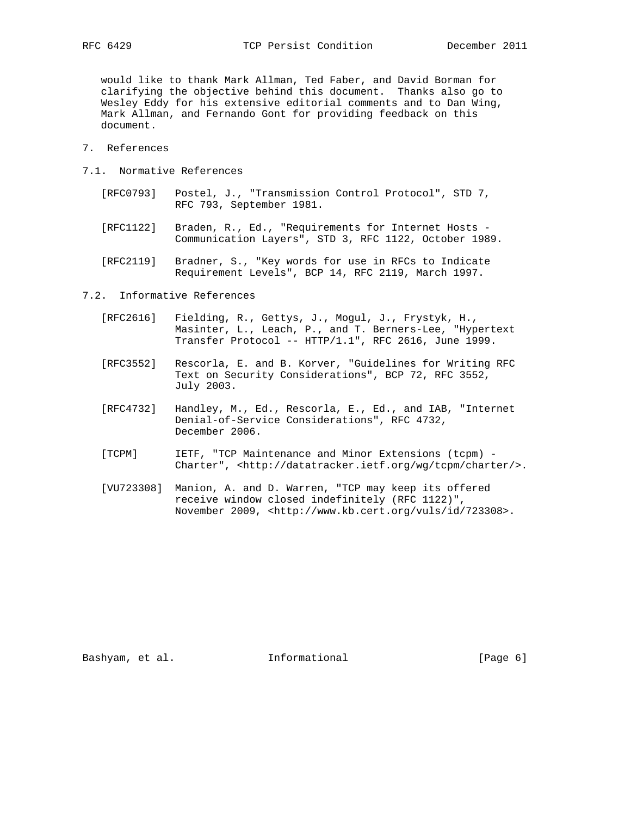would like to thank Mark Allman, Ted Faber, and David Borman for clarifying the objective behind this document. Thanks also go to Wesley Eddy for his extensive editorial comments and to Dan Wing, Mark Allman, and Fernando Gont for providing feedback on this document.

- 7. References
- 7.1. Normative References
	- [RFC0793] Postel, J., "Transmission Control Protocol", STD 7, RFC 793, September 1981.
	- [RFC1122] Braden, R., Ed., "Requirements for Internet Hosts Communication Layers", STD 3, RFC 1122, October 1989.
	- [RFC2119] Bradner, S., "Key words for use in RFCs to Indicate Requirement Levels", BCP 14, RFC 2119, March 1997.
- 7.2. Informative References
	- [RFC2616] Fielding, R., Gettys, J., Mogul, J., Frystyk, H., Masinter, L., Leach, P., and T. Berners-Lee, "Hypertext Transfer Protocol -- HTTP/1.1", RFC 2616, June 1999.
	- [RFC3552] Rescorla, E. and B. Korver, "Guidelines for Writing RFC Text on Security Considerations", BCP 72, RFC 3552, July 2003.
	- [RFC4732] Handley, M., Ed., Rescorla, E., Ed., and IAB, "Internet Denial-of-Service Considerations", RFC 4732, December 2006.
	- [TCPM] IETF, "TCP Maintenance and Minor Extensions (tcpm) Charter", <http://datatracker.ietf.org/wg/tcpm/charter/>.
	- [VU723308] Manion, A. and D. Warren, "TCP may keep its offered receive window closed indefinitely (RFC 1122)", November 2009, <http://www.kb.cert.org/vuls/id/723308>.

Bashyam, et al. 100 Informational 100 [Page 6]